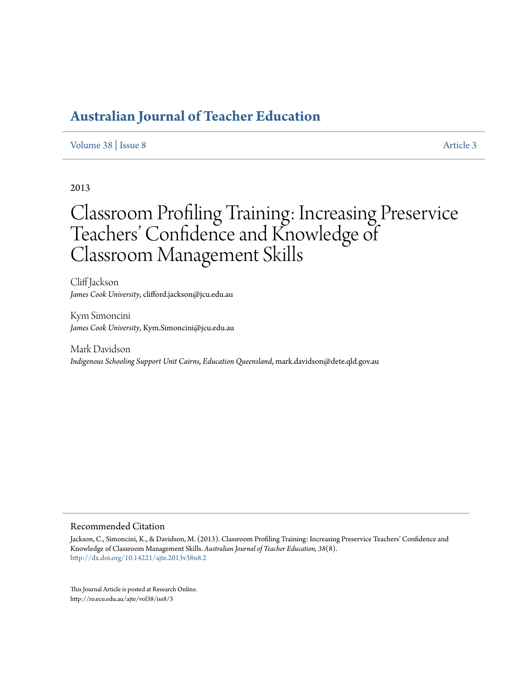# **[Australian Journal of Teacher Education](http://ro.ecu.edu.au/ajte)**

#### [Volume 38](http://ro.ecu.edu.au/ajte/vol38) | [Issue 8](http://ro.ecu.edu.au/ajte/vol38/iss8) [Article 3](http://ro.ecu.edu.au/ajte/vol38/iss8/3)

#### 2013

# Classroom Profiling Training: Increasing Preservice Teachers' Confidence and Knowledge of Classroom Management Skills

Cliff Jackson *James Cook University*, clifford.jackson@jcu.edu.au

Kym Simoncini *James Cook University*, Kym.Simoncini@jcu.edu.au

Mark Davidson *Indigenous Schooling Support Unit Cairns, Education Queensland*, mark.davidson@dete.qld.gov.au

#### Recommended Citation

Jackson, C., Simoncini, K., & Davidson, M. (2013). Classroom Profiling Training: Increasing Preservice Teachers' Confidence and Knowledge of Classroom Management Skills. *Australian Journal of Teacher Education, 38*(8). <http://dx.doi.org/10.14221/ajte.2013v38n8.2>

This Journal Article is posted at Research Online. http://ro.ecu.edu.au/ajte/vol38/iss8/3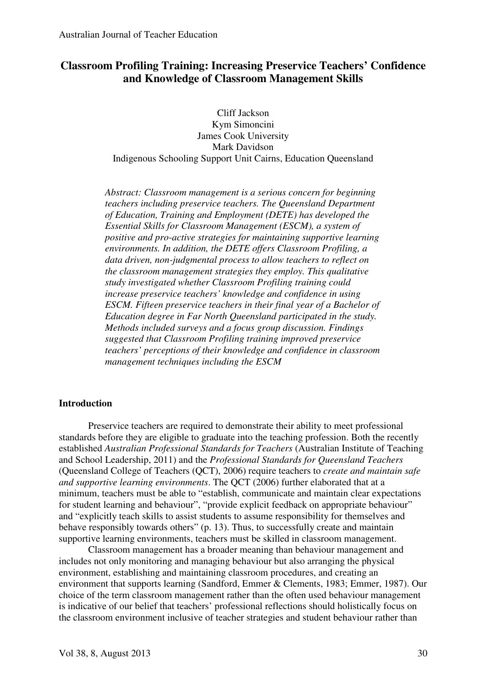# **Classroom Profiling Training: Increasing Preservice Teachers' Confidence and Knowledge of Classroom Management Skills**

Cliff Jackson Kym Simoncini James Cook University Mark Davidson Indigenous Schooling Support Unit Cairns, Education Queensland

*Abstract: Classroom management is a serious concern for beginning teachers including preservice teachers. The Queensland Department of Education, Training and Employment (DETE) has developed the Essential Skills for Classroom Management (ESCM), a system of positive and pro-active strategies for maintaining supportive learning environments. In addition, the DETE offers Classroom Profiling, a data driven, non-judgmental process to allow teachers to reflect on the classroom management strategies they employ. This qualitative study investigated whether Classroom Profiling training could increase preservice teachers' knowledge and confidence in using ESCM. Fifteen preservice teachers in their final year of a Bachelor of Education degree in Far North Queensland participated in the study. Methods included surveys and a focus group discussion. Findings suggested that Classroom Profiling training improved preservice teachers' perceptions of their knowledge and confidence in classroom management techniques including the ESCM* 

# **Introduction**

Preservice teachers are required to demonstrate their ability to meet professional standards before they are eligible to graduate into the teaching profession. Both the recently established *Australian Professional Standards for Teachers* (Australian Institute of Teaching and School Leadership, 2011) and the *Professional Standards for Queensland Teachers* (Queensland College of Teachers (QCT), 2006) require teachers to *create and maintain safe and supportive learning environments*. The QCT (2006) further elaborated that at a minimum, teachers must be able to "establish, communicate and maintain clear expectations for student learning and behaviour", "provide explicit feedback on appropriate behaviour" and "explicitly teach skills to assist students to assume responsibility for themselves and behave responsibly towards others" (p. 13). Thus, to successfully create and maintain supportive learning environments, teachers must be skilled in classroom management.

Classroom management has a broader meaning than behaviour management and includes not only monitoring and managing behaviour but also arranging the physical environment, establishing and maintaining classroom procedures, and creating an environment that supports learning (Sandford, Emmer & Clements, 1983; Emmer, 1987). Our choice of the term classroom management rather than the often used behaviour management is indicative of our belief that teachers' professional reflections should holistically focus on the classroom environment inclusive of teacher strategies and student behaviour rather than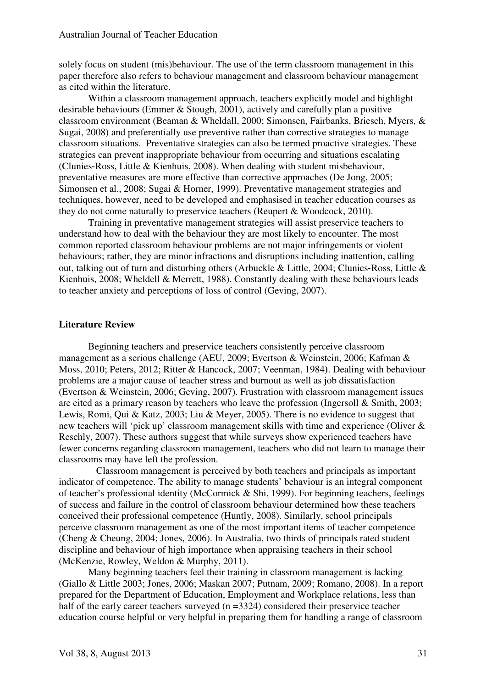solely focus on student (mis)behaviour. The use of the term classroom management in this paper therefore also refers to behaviour management and classroom behaviour management as cited within the literature.

Within a classroom management approach, teachers explicitly model and highlight desirable behaviours (Emmer & Stough, 2001), actively and carefully plan a positive classroom environment (Beaman & Wheldall, 2000; Simonsen, Fairbanks, Briesch, Myers, & Sugai, 2008) and preferentially use preventive rather than corrective strategies to manage classroom situations. Preventative strategies can also be termed proactive strategies. These strategies can prevent inappropriate behaviour from occurring and situations escalating (Clunies‐Ross, Little & Kienhuis, 2008). When dealing with student misbehaviour, preventative measures are more effective than corrective approaches (De Jong, 2005; Simonsen et al., 2008; Sugai & Horner, 1999). Preventative management strategies and techniques, however, need to be developed and emphasised in teacher education courses as they do not come naturally to preservice teachers (Reupert & Woodcock, 2010).

Training in preventative management strategies will assist preservice teachers to understand how to deal with the behaviour they are most likely to encounter. The most common reported classroom behaviour problems are not major infringements or violent behaviours; rather, they are minor infractions and disruptions including inattention, calling out, talking out of turn and disturbing others (Arbuckle & Little, 2004; Clunies‐Ross, Little & Kienhuis, 2008; Wheldell & Merrett, 1988). Constantly dealing with these behaviours leads to teacher anxiety and perceptions of loss of control (Geving, 2007).

# **Literature Review**

Beginning teachers and preservice teachers consistently perceive classroom management as a serious challenge (AEU, 2009; Evertson & Weinstein, 2006; Kafman & Moss, 2010; Peters, 2012; Ritter & Hancock, 2007; Veenman, 1984**)**. Dealing with behaviour problems are a major cause of teacher stress and burnout as well as job dissatisfaction (Evertson & Weinstein, 2006; Geving, 2007). Frustration with classroom management issues are cited as a primary reason by teachers who leave the profession (Ingersoll & Smith, 2003; Lewis, Romi, Qui & Katz, 2003; Liu & Meyer, 2005). There is no evidence to suggest that new teachers will 'pick up' classroom management skills with time and experience (Oliver & Reschly, 2007). These authors suggest that while surveys show experienced teachers have fewer concerns regarding classroom management, teachers who did not learn to manage their classrooms may have left the profession.

 Classroom management is perceived by both teachers and principals as important indicator of competence. The ability to manage students' behaviour is an integral component of teacher's professional identity (McCormick & Shi, 1999). For beginning teachers, feelings of success and failure in the control of classroom behaviour determined how these teachers conceived their professional competence (Huntly, 2008). Similarly, school principals perceive classroom management as one of the most important items of teacher competence (Cheng & Cheung, 2004; Jones, 2006). In Australia, two thirds of principals rated student discipline and behaviour of high importance when appraising teachers in their school (McKenzie, Rowley, Weldon & Murphy, 2011).

 Many beginning teachers feel their training in classroom management is lacking (Giallo & Little 2003; Jones, 2006; Maskan 2007; Putnam, 2009; Romano, 2008). In a report prepared for the Department of Education, Employment and Workplace relations, less than half of the early career teachers surveyed (n =3324) considered their preservice teacher education course helpful or very helpful in preparing them for handling a range of classroom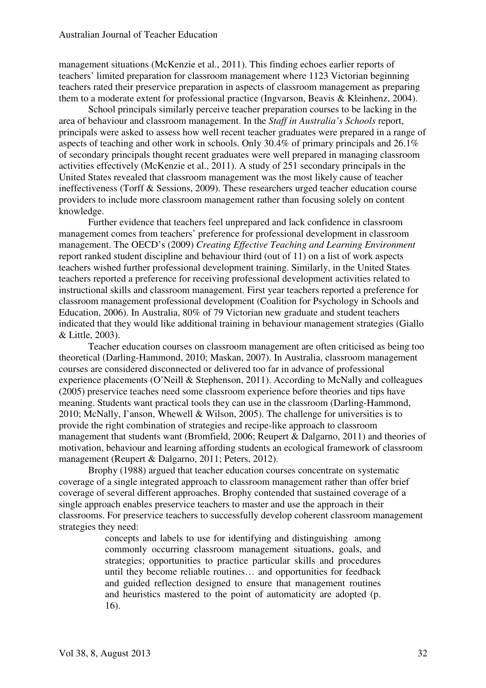management situations (McKenzie et al., 2011). This finding echoes earlier reports of teachers' limited preparation for classroom management where 1123 Victorian beginning teachers rated their preservice preparation in aspects of classroom management as preparing them to a moderate extent for professional practice (Ingvarson, Beavis & Kleinhenz, 2004).

School principals similarly perceive teacher preparation courses to be lacking in the area of behaviour and classroom management. In the *Staff in Australia's Schools* report, principals were asked to assess how well recent teacher graduates were prepared in a range of aspects of teaching and other work in schools. Only 30.4% of primary principals and 26.1% of secondary principals thought recent graduates were well prepared in managing classroom activities effectively (McKenzie et al., 2011). A study of 251 secondary principals in the United States revealed that classroom management was the most likely cause of teacher ineffectiveness (Torff & Sessions, 2009). These researchers urged teacher education course providers to include more classroom management rather than focusing solely on content knowledge.

Further evidence that teachers feel unprepared and lack confidence in classroom management comes from teachers' preference for professional development in classroom management. The OECD's (2009) *Creating Effective Teaching and Learning Environment* report ranked student discipline and behaviour third (out of 11) on a list of work aspects teachers wished further professional development training. Similarly, in the United States teachers reported a preference for receiving professional development activities related to instructional skills and classroom management. First year teachers reported a preference for classroom management professional development (Coalition for Psychology in Schools and Education, 2006). In Australia, 80% of 79 Victorian new graduate and student teachers indicated that they would like additional training in behaviour management strategies (Giallo & Little, 2003).

Teacher education courses on classroom management are often criticised as being too theoretical (Darling-Hammond, 2010; Maskan, 2007). In Australia, classroom management courses are considered disconnected or delivered too far in advance of professional experience placements (O'Neill & Stephenson, 2011). According to McNally and colleagues (2005) preservice teaches need some classroom experience before theories and tips have meaning. Students want practical tools they can use in the classroom (Darling-Hammond, 2010; McNally, I'anson, Whewell & Wilson, 2005). The challenge for universities is to provide the right combination of strategies and recipe-like approach to classroom management that students want (Bromfield, 2006; Reupert & Dalgarno, 2011) and theories of motivation, behaviour and learning affording students an ecological framework of classroom management (Reupert & Dalgarno, 2011; Peters, 2012).

Brophy (1988) argued that teacher education courses concentrate on systematic coverage of a single integrated approach to classroom management rather than offer brief coverage of several different approaches. Brophy contended that sustained coverage of a single approach enables preservice teachers to master and use the approach in their classrooms. For preservice teachers to successfully develop coherent classroom management strategies they need:

> concepts and labels to use for identifying and distinguishing among commonly occurring classroom management situations, goals, and strategies; opportunities to practice particular skills and procedures until they become reliable routines… and opportunities for feedback and guided reflection designed to ensure that management routines and heuristics mastered to the point of automaticity are adopted (p. 16).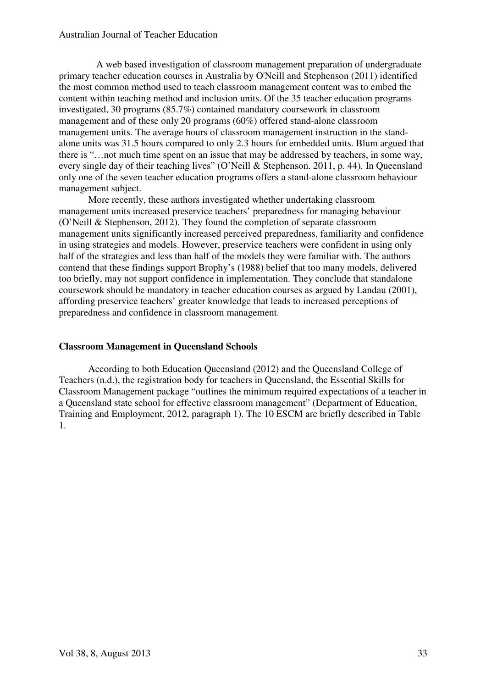# Australian Journal of Teacher Education

 A web based investigation of classroom management preparation of undergraduate primary teacher education courses in Australia by O'Neill and Stephenson (2011) identified the most common method used to teach classroom management content was to embed the content within teaching method and inclusion units. Of the 35 teacher education programs investigated, 30 programs (85.7%) contained mandatory coursework in classroom management and of these only 20 programs (60%) offered stand-alone classroom management units. The average hours of classroom management instruction in the standalone units was 31.5 hours compared to only 2.3 hours for embedded units. Blum argued that there is "…not much time spent on an issue that may be addressed by teachers, in some way, every single day of their teaching lives" (O'Neill & Stephenson. 2011, p. 44). In Queensland only one of the seven teacher education programs offers a stand-alone classroom behaviour management subject.

More recently, these authors investigated whether undertaking classroom management units increased preservice teachers' preparedness for managing behaviour (O'Neill & Stephenson, 2012). They found the completion of separate classroom management units significantly increased perceived preparedness, familiarity and confidence in using strategies and models. However, preservice teachers were confident in using only half of the strategies and less than half of the models they were familiar with. The authors contend that these findings support Brophy's (1988) belief that too many models, delivered too briefly, may not support confidence in implementation. They conclude that standalone coursework should be mandatory in teacher education courses as argued by Landau (2001), affording preservice teachers' greater knowledge that leads to increased perceptions of preparedness and confidence in classroom management.

# **Classroom Management in Queensland Schools**

According to both Education Queensland (2012) and the Queensland College of Teachers (n.d.), the registration body for teachers in Queensland, the Essential Skills for Classroom Management package "outlines the minimum required expectations of a teacher in a Queensland state school for effective classroom management" (Department of Education, Training and Employment, 2012, paragraph 1). The 10 ESCM are briefly described in Table 1.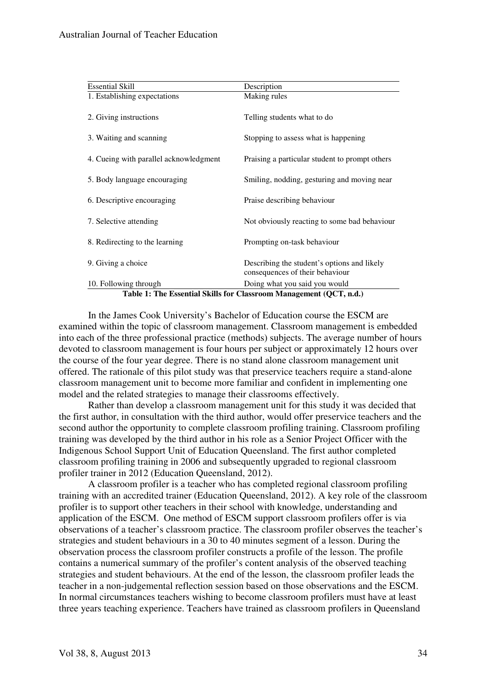| <b>Essential Skill</b>                                             | Description                                    |
|--------------------------------------------------------------------|------------------------------------------------|
| 1. Establishing expectations                                       | Making rules                                   |
|                                                                    |                                                |
| 2. Giving instructions                                             | Telling students what to do                    |
| 3. Waiting and scanning                                            | Stopping to assess what is happening           |
|                                                                    |                                                |
| 4. Cueing with parallel acknowledgment                             | Praising a particular student to prompt others |
|                                                                    |                                                |
| 5. Body language encouraging                                       | Smiling, nodding, gesturing and moving near    |
| 6. Descriptive encouraging                                         | Praise describing behaviour                    |
|                                                                    |                                                |
| 7. Selective attending                                             | Not obviously reacting to some bad behaviour   |
|                                                                    |                                                |
| 8. Redirecting to the learning                                     | Prompting on-task behaviour                    |
| 9. Giving a choice                                                 | Describing the student's options and likely    |
|                                                                    | consequences of their behaviour                |
| 10. Following through                                              | Doing what you said you would                  |
| Table 1: The Essential Skills for Classroom Management (QCT, n.d.) |                                                |

In the James Cook University's Bachelor of Education course the ESCM are examined within the topic of classroom management. Classroom management is embedded into each of the three professional practice (methods) subjects. The average number of hours devoted to classroom management is four hours per subject or approximately 12 hours over the course of the four year degree. There is no stand alone classroom management unit offered. The rationale of this pilot study was that preservice teachers require a stand-alone classroom management unit to become more familiar and confident in implementing one model and the related strategies to manage their classrooms effectively.

Rather than develop a classroom management unit for this study it was decided that the first author, in consultation with the third author, would offer preservice teachers and the second author the opportunity to complete classroom profiling training. Classroom profiling training was developed by the third author in his role as a Senior Project Officer with the Indigenous School Support Unit of Education Queensland. The first author completed classroom profiling training in 2006 and subsequently upgraded to regional classroom profiler trainer in 2012 (Education Queensland, 2012).

A classroom profiler is a teacher who has completed regional classroom profiling training with an accredited trainer (Education Queensland, 2012). A key role of the classroom profiler is to support other teachers in their school with knowledge, understanding and application of the ESCM. One method of ESCM support classroom profilers offer is via observations of a teacher's classroom practice. The classroom profiler observes the teacher's strategies and student behaviours in a 30 to 40 minutes segment of a lesson. During the observation process the classroom profiler constructs a profile of the lesson. The profile contains a numerical summary of the profiler's content analysis of the observed teaching strategies and student behaviours. At the end of the lesson, the classroom profiler leads the teacher in a non-judgemental reflection session based on those observations and the ESCM. In normal circumstances teachers wishing to become classroom profilers must have at least three years teaching experience. Teachers have trained as classroom profilers in Queensland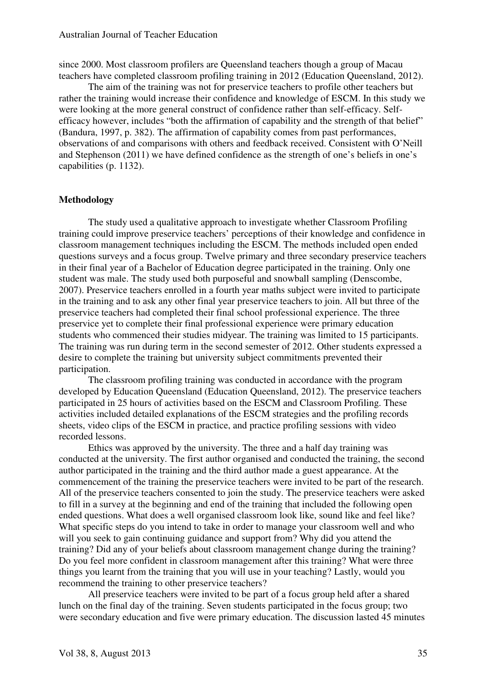since 2000. Most classroom profilers are Queensland teachers though a group of Macau teachers have completed classroom profiling training in 2012 (Education Queensland, 2012).

The aim of the training was not for preservice teachers to profile other teachers but rather the training would increase their confidence and knowledge of ESCM. In this study we were looking at the more general construct of confidence rather than self-efficacy. Selfefficacy however, includes "both the affirmation of capability and the strength of that belief" (Bandura, 1997, p. 382). The affirmation of capability comes from past performances, observations of and comparisons with others and feedback received. Consistent with O'Neill and Stephenson (2011) we have defined confidence as the strength of one's beliefs in one's capabilities (p. 1132).

# **Methodology**

The study used a qualitative approach to investigate whether Classroom Profiling training could improve preservice teachers' perceptions of their knowledge and confidence in classroom management techniques including the ESCM. The methods included open ended questions surveys and a focus group. Twelve primary and three secondary preservice teachers in their final year of a Bachelor of Education degree participated in the training. Only one student was male. The study used both purposeful and snowball sampling (Denscombe, 2007). Preservice teachers enrolled in a fourth year maths subject were invited to participate in the training and to ask any other final year preservice teachers to join. All but three of the preservice teachers had completed their final school professional experience. The three preservice yet to complete their final professional experience were primary education students who commenced their studies midyear. The training was limited to 15 participants. The training was run during term in the second semester of 2012. Other students expressed a desire to complete the training but university subject commitments prevented their participation.

The classroom profiling training was conducted in accordance with the program developed by Education Queensland (Education Queensland, 2012). The preservice teachers participated in 25 hours of activities based on the ESCM and Classroom Profiling. These activities included detailed explanations of the ESCM strategies and the profiling records sheets, video clips of the ESCM in practice, and practice profiling sessions with video recorded lessons.

Ethics was approved by the university. The three and a half day training was conducted at the university. The first author organised and conducted the training, the second author participated in the training and the third author made a guest appearance. At the commencement of the training the preservice teachers were invited to be part of the research. All of the preservice teachers consented to join the study. The preservice teachers were asked to fill in a survey at the beginning and end of the training that included the following open ended questions. What does a well organised classroom look like, sound like and feel like? What specific steps do you intend to take in order to manage your classroom well and who will you seek to gain continuing guidance and support from? Why did you attend the training? Did any of your beliefs about classroom management change during the training? Do you feel more confident in classroom management after this training? What were three things you learnt from the training that you will use in your teaching? Lastly, would you recommend the training to other preservice teachers?

All preservice teachers were invited to be part of a focus group held after a shared lunch on the final day of the training. Seven students participated in the focus group; two were secondary education and five were primary education. The discussion lasted 45 minutes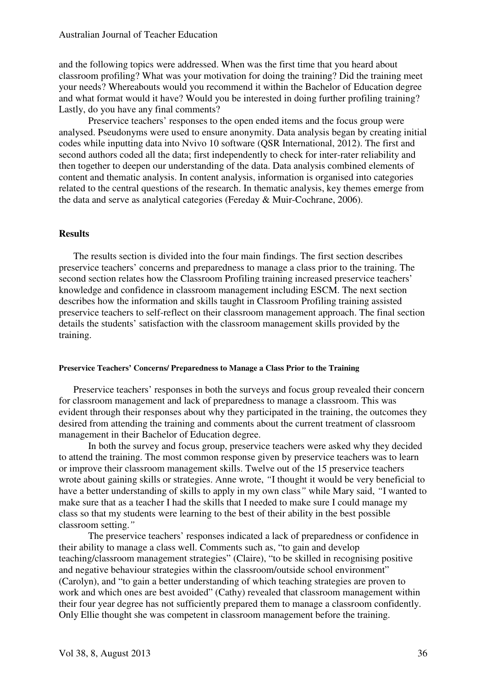and the following topics were addressed. When was the first time that you heard about classroom profiling? What was your motivation for doing the training? Did the training meet your needs? Whereabouts would you recommend it within the Bachelor of Education degree and what format would it have? Would you be interested in doing further profiling training? Lastly, do you have any final comments?

Preservice teachers' responses to the open ended items and the focus group were analysed. Pseudonyms were used to ensure anonymity. Data analysis began by creating initial codes while inputting data into Nvivo 10 software (QSR International, 2012). The first and second authors coded all the data; first independently to check for inter-rater reliability and then together to deepen our understanding of the data. Data analysis combined elements of content and thematic analysis. In content analysis, information is organised into categories related to the central questions of the research. In thematic analysis, key themes emerge from the data and serve as analytical categories (Fereday & Muir-Cochrane, 2006).

# **Results**

The results section is divided into the four main findings. The first section describes preservice teachers' concerns and preparedness to manage a class prior to the training. The second section relates how the Classroom Profiling training increased preservice teachers' knowledge and confidence in classroom management including ESCM. The next section describes how the information and skills taught in Classroom Profiling training assisted preservice teachers to self-reflect on their classroom management approach. The final section details the students' satisfaction with the classroom management skills provided by the training.

#### **Preservice Teachers' Concerns/ Preparedness to Manage a Class Prior to the Training**

Preservice teachers' responses in both the surveys and focus group revealed their concern for classroom management and lack of preparedness to manage a classroom. This was evident through their responses about why they participated in the training, the outcomes they desired from attending the training and comments about the current treatment of classroom management in their Bachelor of Education degree.

In both the survey and focus group, preservice teachers were asked why they decided to attend the training. The most common response given by preservice teachers was to learn or improve their classroom management skills. Twelve out of the 15 preservice teachers wrote about gaining skills or strategies. Anne wrote, *"*I thought it would be very beneficial to have a better understanding of skills to apply in my own class*"* while Mary said, *"*I wanted to make sure that as a teacher I had the skills that I needed to make sure I could manage my class so that my students were learning to the best of their ability in the best possible classroom setting.*"*

The preservice teachers' responses indicated a lack of preparedness or confidence in their ability to manage a class well. Comments such as, "to gain and develop teaching/classroom management strategies" (Claire), "to be skilled in recognising positive and negative behaviour strategies within the classroom/outside school environment" (Carolyn), and "to gain a better understanding of which teaching strategies are proven to work and which ones are best avoided" (Cathy) revealed that classroom management within their four year degree has not sufficiently prepared them to manage a classroom confidently. Only Ellie thought she was competent in classroom management before the training.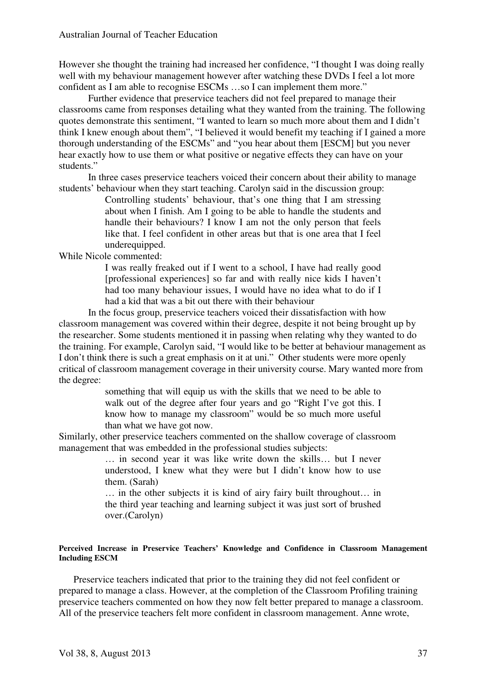However she thought the training had increased her confidence, "I thought I was doing really well with my behaviour management however after watching these DVDs I feel a lot more confident as I am able to recognise ESCMs …so I can implement them more."

Further evidence that preservice teachers did not feel prepared to manage their classrooms came from responses detailing what they wanted from the training. The following quotes demonstrate this sentiment, "I wanted to learn so much more about them and I didn't think I knew enough about them", "I believed it would benefit my teaching if I gained a more thorough understanding of the ESCMs" and "you hear about them [ESCM] but you never hear exactly how to use them or what positive or negative effects they can have on your students."

In three cases preservice teachers voiced their concern about their ability to manage students' behaviour when they start teaching. Carolyn said in the discussion group:

Controlling students' behaviour, that's one thing that I am stressing about when I finish. Am I going to be able to handle the students and handle their behaviours? I know I am not the only person that feels like that. I feel confident in other areas but that is one area that I feel underequipped.

While Nicole commented:

I was really freaked out if I went to a school, I have had really good [professional experiences] so far and with really nice kids I haven't had too many behaviour issues, I would have no idea what to do if I had a kid that was a bit out there with their behaviour

In the focus group, preservice teachers voiced their dissatisfaction with how classroom management was covered within their degree, despite it not being brought up by the researcher. Some students mentioned it in passing when relating why they wanted to do the training. For example, Carolyn said, "I would like to be better at behaviour management as I don't think there is such a great emphasis on it at uni." Other students were more openly critical of classroom management coverage in their university course. Mary wanted more from the degree:

> something that will equip us with the skills that we need to be able to walk out of the degree after four years and go "Right I've got this. I know how to manage my classroom" would be so much more useful than what we have got now.

Similarly, other preservice teachers commented on the shallow coverage of classroom management that was embedded in the professional studies subjects:

> … in second year it was like write down the skills… but I never understood, I knew what they were but I didn't know how to use them. (Sarah)

> … in the other subjects it is kind of airy fairy built throughout… in the third year teaching and learning subject it was just sort of brushed over.(Carolyn)

#### **Perceived Increase in Preservice Teachers' Knowledge and Confidence in Classroom Management Including ESCM**

Preservice teachers indicated that prior to the training they did not feel confident or prepared to manage a class. However, at the completion of the Classroom Profiling training preservice teachers commented on how they now felt better prepared to manage a classroom. All of the preservice teachers felt more confident in classroom management. Anne wrote,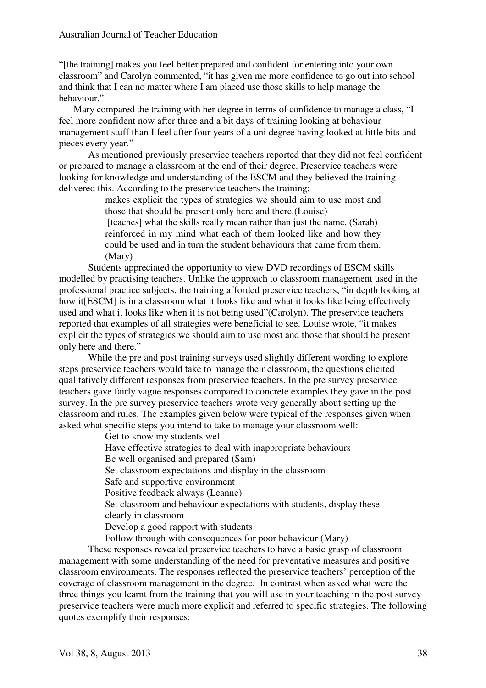"[the training] makes you feel better prepared and confident for entering into your own classroom" and Carolyn commented, "it has given me more confidence to go out into school and think that I can no matter where I am placed use those skills to help manage the behaviour."

Mary compared the training with her degree in terms of confidence to manage a class, "I feel more confident now after three and a bit days of training looking at behaviour management stuff than I feel after four years of a uni degree having looked at little bits and pieces every year."

As mentioned previously preservice teachers reported that they did not feel confident or prepared to manage a classroom at the end of their degree. Preservice teachers were looking for knowledge and understanding of the ESCM and they believed the training delivered this. According to the preservice teachers the training:

makes explicit the types of strategies we should aim to use most and those that should be present only here and there.(Louise)

 [teaches] what the skills really mean rather than just the name. (Sarah) reinforced in my mind what each of them looked like and how they could be used and in turn the student behaviours that came from them. (Mary)

Students appreciated the opportunity to view DVD recordings of ESCM skills modelled by practising teachers. Unlike the approach to classroom management used in the professional practice subjects, the training afforded preservice teachers, "in depth looking at how it[ESCM] is in a classroom what it looks like and what it looks like being effectively used and what it looks like when it is not being used"(Carolyn). The preservice teachers reported that examples of all strategies were beneficial to see. Louise wrote, "it makes explicit the types of strategies we should aim to use most and those that should be present only here and there."

While the pre and post training surveys used slightly different wording to explore steps preservice teachers would take to manage their classroom, the questions elicited qualitatively different responses from preservice teachers. In the pre survey preservice teachers gave fairly vague responses compared to concrete examples they gave in the post survey. In the pre survey preservice teachers wrote very generally about setting up the classroom and rules. The examples given below were typical of the responses given when asked what specific steps you intend to take to manage your classroom well:

Get to know my students well Have effective strategies to deal with inappropriate behaviours Be well organised and prepared (Sam) Set classroom expectations and display in the classroom Safe and supportive environment Positive feedback always (Leanne) Set classroom and behaviour expectations with students, display these clearly in classroom Develop a good rapport with students Follow through with consequences for poor behaviour (Mary)

These responses revealed preservice teachers to have a basic grasp of classroom management with some understanding of the need for preventative measures and positive classroom environments. The responses reflected the preservice teachers' perception of the coverage of classroom management in the degree. In contrast when asked what were the three things you learnt from the training that you will use in your teaching in the post survey preservice teachers were much more explicit and referred to specific strategies. The following quotes exemplify their responses: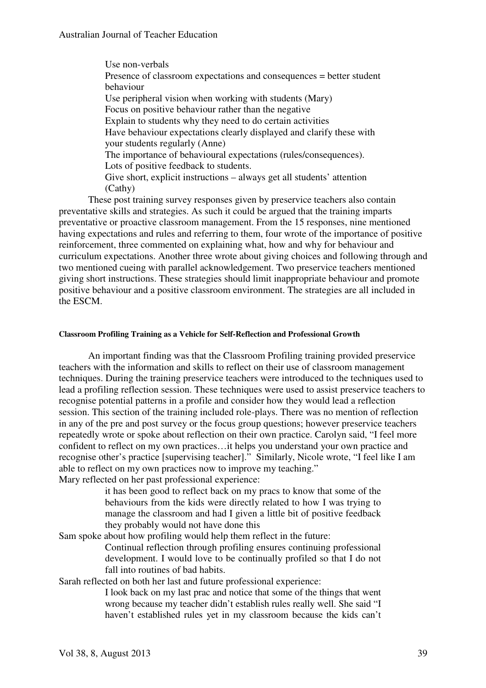Use non-verbals Presence of classroom expectations and consequences = better student behaviour Use peripheral vision when working with students (Mary) Focus on positive behaviour rather than the negative Explain to students why they need to do certain activities Have behaviour expectations clearly displayed and clarify these with your students regularly (Anne) The importance of behavioural expectations (rules/consequences). Lots of positive feedback to students. Give short, explicit instructions – always get all students' attention (Cathy)

These post training survey responses given by preservice teachers also contain preventative skills and strategies. As such it could be argued that the training imparts preventative or proactive classroom management. From the 15 responses, nine mentioned having expectations and rules and referring to them, four wrote of the importance of positive reinforcement, three commented on explaining what, how and why for behaviour and curriculum expectations. Another three wrote about giving choices and following through and two mentioned cueing with parallel acknowledgement. Two preservice teachers mentioned giving short instructions. These strategies should limit inappropriate behaviour and promote positive behaviour and a positive classroom environment. The strategies are all included in the ESCM.

#### **Classroom Profiling Training as a Vehicle for Self-Reflection and Professional Growth**

An important finding was that the Classroom Profiling training provided preservice teachers with the information and skills to reflect on their use of classroom management techniques. During the training preservice teachers were introduced to the techniques used to lead a profiling reflection session. These techniques were used to assist preservice teachers to recognise potential patterns in a profile and consider how they would lead a reflection session. This section of the training included role-plays. There was no mention of reflection in any of the pre and post survey or the focus group questions; however preservice teachers repeatedly wrote or spoke about reflection on their own practice. Carolyn said, "I feel more confident to reflect on my own practices…it helps you understand your own practice and recognise other's practice [supervising teacher]." Similarly, Nicole wrote, "I feel like I am able to reflect on my own practices now to improve my teaching." Mary reflected on her past professional experience:

> it has been good to reflect back on my pracs to know that some of the behaviours from the kids were directly related to how I was trying to manage the classroom and had I given a little bit of positive feedback they probably would not have done this

Sam spoke about how profiling would help them reflect in the future:

Continual reflection through profiling ensures continuing professional development. I would love to be continually profiled so that I do not fall into routines of bad habits.

Sarah reflected on both her last and future professional experience:

I look back on my last prac and notice that some of the things that went wrong because my teacher didn't establish rules really well. She said "I haven't established rules yet in my classroom because the kids can't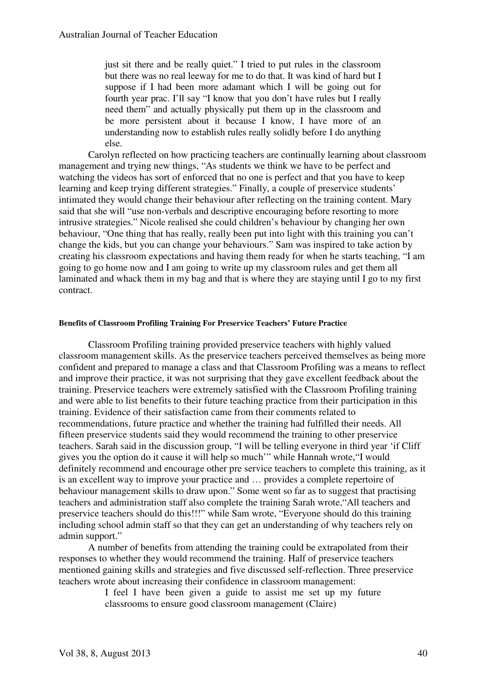just sit there and be really quiet." I tried to put rules in the classroom but there was no real leeway for me to do that. It was kind of hard but I suppose if I had been more adamant which I will be going out for fourth year prac. I'll say "I know that you don't have rules but I really need them" and actually physically put them up in the classroom and be more persistent about it because I know, I have more of an understanding now to establish rules really solidly before I do anything else.

Carolyn reflected on how practicing teachers are continually learning about classroom management and trying new things, "As students we think we have to be perfect and watching the videos has sort of enforced that no one is perfect and that you have to keep learning and keep trying different strategies." Finally, a couple of preservice students' intimated they would change their behaviour after reflecting on the training content. Mary said that she will "use non-verbals and descriptive encouraging before resorting to more intrusive strategies." Nicole realised she could children's behaviour by changing her own behaviour, "One thing that has really, really been put into light with this training you can't change the kids, but you can change your behaviours." Sam was inspired to take action by creating his classroom expectations and having them ready for when he starts teaching, "I am going to go home now and I am going to write up my classroom rules and get them all laminated and whack them in my bag and that is where they are staying until I go to my first contract.

#### **Benefits of Classroom Profiling Training For Preservice Teachers' Future Practice**

Classroom Profiling training provided preservice teachers with highly valued classroom management skills. As the preservice teachers perceived themselves as being more confident and prepared to manage a class and that Classroom Profiling was a means to reflect and improve their practice, it was not surprising that they gave excellent feedback about the training. Preservice teachers were extremely satisfied with the Classroom Profiling training and were able to list benefits to their future teaching practice from their participation in this training. Evidence of their satisfaction came from their comments related to recommendations, future practice and whether the training had fulfilled their needs. All fifteen preservice students said they would recommend the training to other preservice teachers. Sarah said in the discussion group, "I will be telling everyone in third year 'if Cliff gives you the option do it cause it will help so much'" while Hannah wrote,"I would definitely recommend and encourage other pre service teachers to complete this training, as it is an excellent way to improve your practice and … provides a complete repertoire of behaviour management skills to draw upon." Some went so far as to suggest that practising teachers and administration staff also complete the training Sarah wrote,"All teachers and preservice teachers should do this!!!" while Sam wrote, "Everyone should do this training including school admin staff so that they can get an understanding of why teachers rely on admin support."

A number of benefits from attending the training could be extrapolated from their responses to whether they would recommend the training. Half of preservice teachers mentioned gaining skills and strategies and five discussed self-reflection. Three preservice teachers wrote about increasing their confidence in classroom management:

> I feel I have been given a guide to assist me set up my future classrooms to ensure good classroom management (Claire)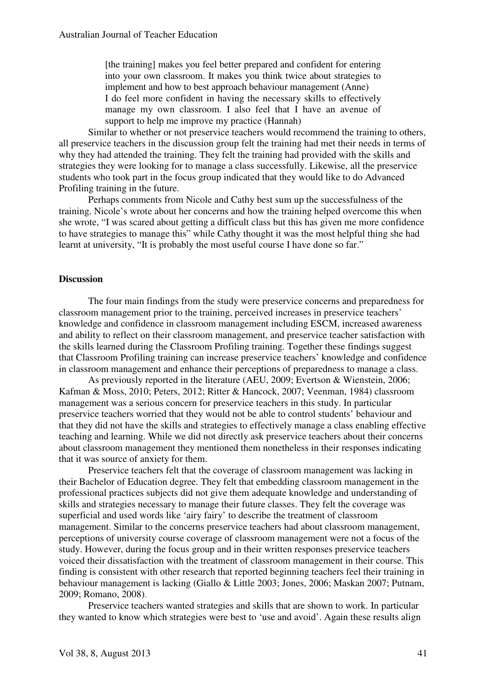[the training] makes you feel better prepared and confident for entering into your own classroom. It makes you think twice about strategies to implement and how to best approach behaviour management (Anne) I do feel more confident in having the necessary skills to effectively manage my own classroom. I also feel that I have an avenue of support to help me improve my practice (Hannah)

Similar to whether or not preservice teachers would recommend the training to others, all preservice teachers in the discussion group felt the training had met their needs in terms of why they had attended the training. They felt the training had provided with the skills and strategies they were looking for to manage a class successfully. Likewise, all the preservice students who took part in the focus group indicated that they would like to do Advanced Profiling training in the future.

Perhaps comments from Nicole and Cathy best sum up the successfulness of the training. Nicole's wrote about her concerns and how the training helped overcome this when she wrote, "I was scared about getting a difficult class but this has given me more confidence to have strategies to manage this" while Cathy thought it was the most helpful thing she had learnt at university, "It is probably the most useful course I have done so far."

#### **Discussion**

The four main findings from the study were preservice concerns and preparedness for classroom management prior to the training, perceived increases in preservice teachers' knowledge and confidence in classroom management including ESCM, increased awareness and ability to reflect on their classroom management, and preservice teacher satisfaction with the skills learned during the Classroom Profiling training. Together these findings suggest that Classroom Profiling training can increase preservice teachers' knowledge and confidence in classroom management and enhance their perceptions of preparedness to manage a class.

As previously reported in the literature (AEU, 2009; Evertson & Wienstein, 2006; Kafman & Moss, 2010; Peters, 2012; Ritter & Hancock, 2007; Veenman, 1984) classroom management was a serious concern for preservice teachers in this study. In particular preservice teachers worried that they would not be able to control students' behaviour and that they did not have the skills and strategies to effectively manage a class enabling effective teaching and learning. While we did not directly ask preservice teachers about their concerns about classroom management they mentioned them nonetheless in their responses indicating that it was source of anxiety for them.

Preservice teachers felt that the coverage of classroom management was lacking in their Bachelor of Education degree. They felt that embedding classroom management in the professional practices subjects did not give them adequate knowledge and understanding of skills and strategies necessary to manage their future classes. They felt the coverage was superficial and used words like 'airy fairy' to describe the treatment of classroom management. Similar to the concerns preservice teachers had about classroom management, perceptions of university course coverage of classroom management were not a focus of the study. However, during the focus group and in their written responses preservice teachers voiced their dissatisfaction with the treatment of classroom management in their course. This finding is consistent with other research that reported beginning teachers feel their training in behaviour management is lacking (Giallo & Little 2003; Jones, 2006; Maskan 2007; Putnam, 2009; Romano, 2008).

Preservice teachers wanted strategies and skills that are shown to work. In particular they wanted to know which strategies were best to 'use and avoid'. Again these results align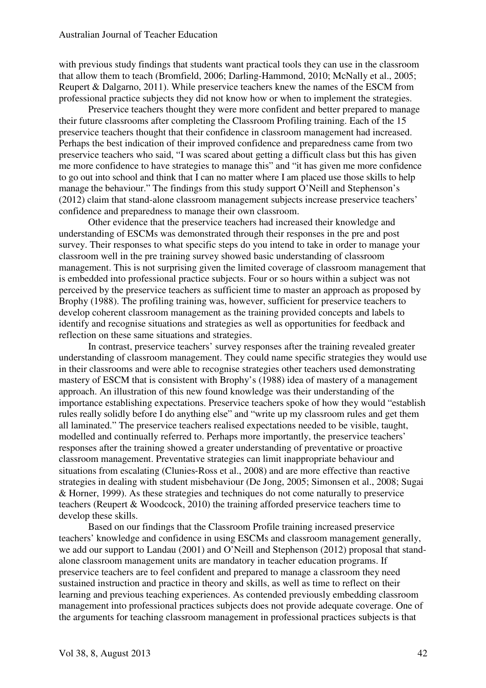with previous study findings that students want practical tools they can use in the classroom that allow them to teach (Bromfield, 2006; Darling-Hammond, 2010; McNally et al., 2005; Reupert & Dalgarno, 2011). While preservice teachers knew the names of the ESCM from professional practice subjects they did not know how or when to implement the strategies.

Preservice teachers thought they were more confident and better prepared to manage their future classrooms after completing the Classroom Profiling training. Each of the 15 preservice teachers thought that their confidence in classroom management had increased. Perhaps the best indication of their improved confidence and preparedness came from two preservice teachers who said, "I was scared about getting a difficult class but this has given me more confidence to have strategies to manage this" and "it has given me more confidence to go out into school and think that I can no matter where I am placed use those skills to help manage the behaviour." The findings from this study support O'Neill and Stephenson's (2012) claim that stand-alone classroom management subjects increase preservice teachers' confidence and preparedness to manage their own classroom.

Other evidence that the preservice teachers had increased their knowledge and understanding of ESCMs was demonstrated through their responses in the pre and post survey. Their responses to what specific steps do you intend to take in order to manage your classroom well in the pre training survey showed basic understanding of classroom management. This is not surprising given the limited coverage of classroom management that is embedded into professional practice subjects. Four or so hours within a subject was not perceived by the preservice teachers as sufficient time to master an approach as proposed by Brophy (1988). The profiling training was, however, sufficient for preservice teachers to develop coherent classroom management as the training provided concepts and labels to identify and recognise situations and strategies as well as opportunities for feedback and reflection on these same situations and strategies.

In contrast, preservice teachers' survey responses after the training revealed greater understanding of classroom management. They could name specific strategies they would use in their classrooms and were able to recognise strategies other teachers used demonstrating mastery of ESCM that is consistent with Brophy's (1988) idea of mastery of a management approach. An illustration of this new found knowledge was their understanding of the importance establishing expectations. Preservice teachers spoke of how they would "establish rules really solidly before I do anything else" and "write up my classroom rules and get them all laminated." The preservice teachers realised expectations needed to be visible, taught, modelled and continually referred to. Perhaps more importantly, the preservice teachers' responses after the training showed a greater understanding of preventative or proactive classroom management. Preventative strategies can limit inappropriate behaviour and situations from escalating (Clunies‐Ross et al., 2008) and are more effective than reactive strategies in dealing with student misbehaviour (De Jong, 2005; Simonsen et al., 2008; Sugai & Horner, 1999). As these strategies and techniques do not come naturally to preservice teachers (Reupert & Woodcock, 2010) the training afforded preservice teachers time to develop these skills.

Based on our findings that the Classroom Profile training increased preservice teachers' knowledge and confidence in using ESCMs and classroom management generally, we add our support to Landau (2001) and O'Neill and Stephenson (2012) proposal that standalone classroom management units are mandatory in teacher education programs. If preservice teachers are to feel confident and prepared to manage a classroom they need sustained instruction and practice in theory and skills, as well as time to reflect on their learning and previous teaching experiences. As contended previously embedding classroom management into professional practices subjects does not provide adequate coverage. One of the arguments for teaching classroom management in professional practices subjects is that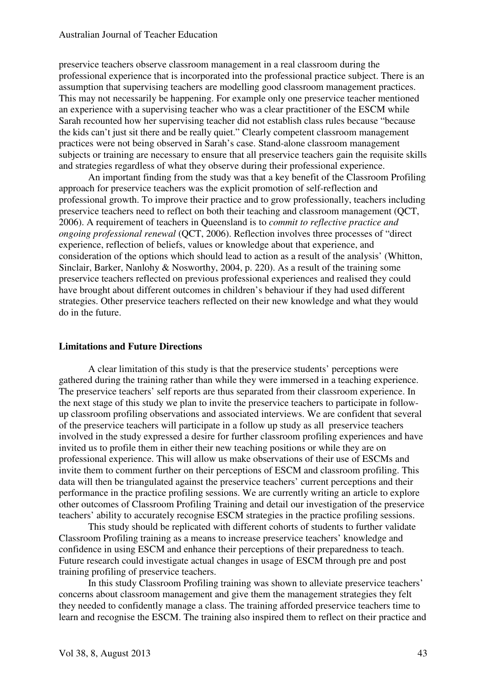preservice teachers observe classroom management in a real classroom during the professional experience that is incorporated into the professional practice subject. There is an assumption that supervising teachers are modelling good classroom management practices. This may not necessarily be happening. For example only one preservice teacher mentioned an experience with a supervising teacher who was a clear practitioner of the ESCM while Sarah recounted how her supervising teacher did not establish class rules because "because the kids can't just sit there and be really quiet." Clearly competent classroom management practices were not being observed in Sarah's case. Stand-alone classroom management subjects or training are necessary to ensure that all preservice teachers gain the requisite skills and strategies regardless of what they observe during their professional experience.

An important finding from the study was that a key benefit of the Classroom Profiling approach for preservice teachers was the explicit promotion of self-reflection and professional growth. To improve their practice and to grow professionally, teachers including preservice teachers need to reflect on both their teaching and classroom management (QCT, 2006). A requirement of teachers in Queensland is to *commit to reflective practice and ongoing professional renewal* (QCT, 2006). Reflection involves three processes of "direct experience, reflection of beliefs, values or knowledge about that experience, and consideration of the options which should lead to action as a result of the analysis' (Whitton, Sinclair, Barker, Nanlohy & Nosworthy, 2004, p. 220). As a result of the training some preservice teachers reflected on previous professional experiences and realised they could have brought about different outcomes in children's behaviour if they had used different strategies. Other preservice teachers reflected on their new knowledge and what they would do in the future.

# **Limitations and Future Directions**

A clear limitation of this study is that the preservice students' perceptions were gathered during the training rather than while they were immersed in a teaching experience. The preservice teachers' self reports are thus separated from their classroom experience. In the next stage of this study we plan to invite the preservice teachers to participate in followup classroom profiling observations and associated interviews. We are confident that several of the preservice teachers will participate in a follow up study as all preservice teachers involved in the study expressed a desire for further classroom profiling experiences and have invited us to profile them in either their new teaching positions or while they are on professional experience. This will allow us make observations of their use of ESCMs and invite them to comment further on their perceptions of ESCM and classroom profiling. This data will then be triangulated against the preservice teachers' current perceptions and their performance in the practice profiling sessions. We are currently writing an article to explore other outcomes of Classroom Profiling Training and detail our investigation of the preservice teachers' ability to accurately recognise ESCM strategies in the practice profiling sessions.

This study should be replicated with different cohorts of students to further validate Classroom Profiling training as a means to increase preservice teachers' knowledge and confidence in using ESCM and enhance their perceptions of their preparedness to teach. Future research could investigate actual changes in usage of ESCM through pre and post training profiling of preservice teachers.

In this study Classroom Profiling training was shown to alleviate preservice teachers' concerns about classroom management and give them the management strategies they felt they needed to confidently manage a class. The training afforded preservice teachers time to learn and recognise the ESCM. The training also inspired them to reflect on their practice and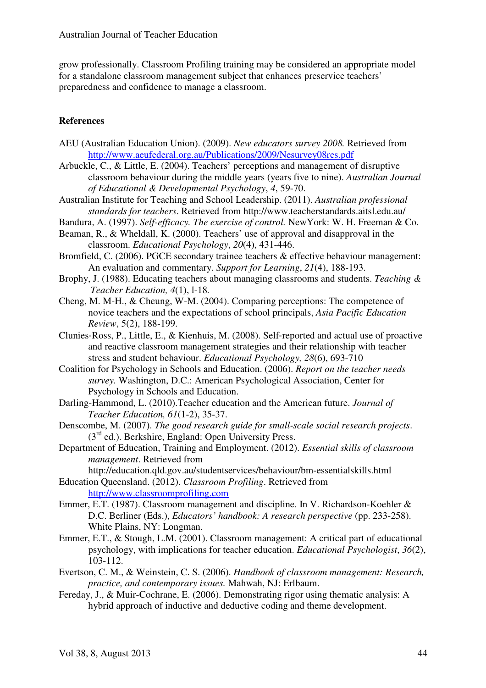grow professionally. Classroom Profiling training may be considered an appropriate model for a standalone classroom management subject that enhances preservice teachers' preparedness and confidence to manage a classroom.

# **References**

- AEU (Australian Education Union). (2009). *New educators survey 2008.* Retrieved from http://www.aeufederal.org.au/Publications/2009/Nesurvey08res.pdf
- Arbuckle, C., & Little, E. (2004). Teachers' perceptions and management of disruptive classroom behaviour during the middle years (years five to nine). *Australian Journal of Educational & Developmental Psychology*, *4*, 59-70.
- Australian Institute for Teaching and School Leadership. (2011). *Australian professional standards for teachers*. Retrieved from http://www.teacherstandards.aitsl.edu.au/
- Bandura, A. (1997). *Self-efficacy. The exercise of control.* NewYork: W. H. Freeman & Co.
- Beaman, R., & Wheldall, K. (2000). Teachers' use of approval and disapproval in the classroom. *Educational Psychology*, *20*(4), 431-446.
- Bromfield, C. (2006). PGCE secondary trainee teachers & effective behaviour management: An evaluation and commentary. *Support for Learning*, *21*(4), 188-193.
- Brophy, J. (1988). Educating teachers about managing classrooms and students. *Teaching & Teacher Education, 4*(1), l-18*.*
- Cheng, M. M-H., & Cheung, W-M. (2004). Comparing perceptions: The competence of novice teachers and the expectations of school principals, *Asia Pacific Education Review*, 5(2), 188-199.
- Clunies‐Ross, P., Little, E., & Kienhuis, M. (2008). Self‐reported and actual use of proactive and reactive classroom management strategies and their relationship with teacher stress and student behaviour. *Educational Psychology, 28*(6), 693-710
- Coalition for Psychology in Schools and Education. (2006). *Report on the teacher needs survey.* Washington, D.C.: American Psychological Association, Center for Psychology in Schools and Education.
- Darling-Hammond, L. (2010).Teacher education and the American future. *Journal of Teacher Education, 61*(1-2), 35-37.
- Denscombe, M. (2007). *The good research guide for small-scale social research projects*.  $(3<sup>rd</sup>$  ed.). Berkshire, England: Open University Press.
- Department of Education, Training and Employment. (2012). *Essential skills of classroom management*. Retrieved from

http://education.qld.gov.au/studentservices/behaviour/bm-essentialskills.html Education Queensland. (2012). *Classroom Profiling*. Retrieved from

http://www.classroomprofiling.com

- Emmer, E.T. (1987). Classroom management and discipline. In V. Richardson-Koehler & D.C. Berliner (Eds.), *Educators' handbook: A research perspective* (pp. 233-258). White Plains, NY: Longman.
- Emmer, E.T., & Stough, L.M. (2001). Classroom management: A critical part of educational psychology, with implications for teacher education. *Educational Psychologist*, *36*(2), 103-112.
- Evertson, C. M., & Weinstein, C. S. (2006). *Handbook of classroom management: Research, practice, and contemporary issues.* Mahwah, NJ: Erlbaum.
- Fereday, J., & Muir-Cochrane, E. (2006). Demonstrating rigor using thematic analysis: A hybrid approach of inductive and deductive coding and theme development.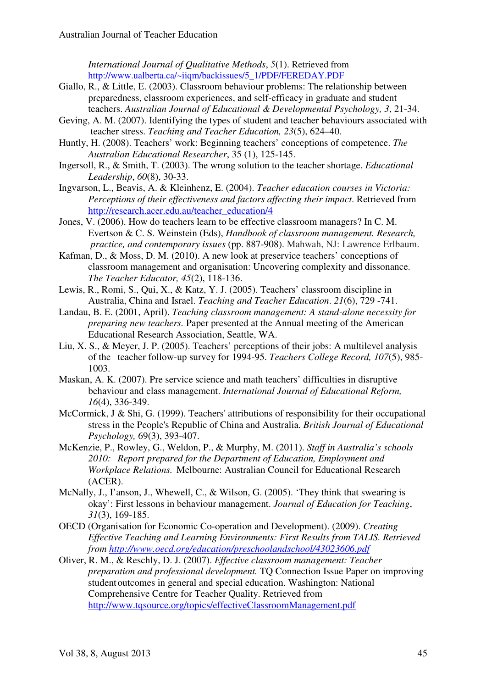*International Journal of Qualitative Methods*, *5*(1). Retrieved from http://www.ualberta.ca/~iiqm/backissues/5\_1/PDF/FEREDAY.PDF

- Giallo, R., & Little, E. (2003). Classroom behaviour problems: The relationship between preparedness, classroom experiences, and self-efficacy in graduate and student teachers. *Australian Journal of Educational & Developmental Psychology, 3*, 21-34.
- Geving, A. M. (2007). Identifying the types of student and teacher behaviours associated with teacher stress. *Teaching and Teacher Education, 23*(5), 624–40.
- Huntly, H. (2008). Teachers' work: Beginning teachers' conceptions of competence. *The Australian Educational Researcher*, 35 (1), 125-145.
- Ingersoll, R., & Smith, T. (2003). The wrong solution to the teacher shortage. *Educational Leadership*, *60*(8), 30-33.
- Ingvarson, L., Beavis, A. & Kleinhenz, E. (2004). *Teacher education courses in Victoria: Perceptions of their effectiveness and factors affecting their impact*. Retrieved from http://research.acer.edu.au/teacher\_education/4
- Jones, V. (2006). How do teachers learn to be effective classroom managers? In C. M. Evertson & C. S. Weinstein (Eds), *Handbook of classroom management. Research, practice, and contemporary issues* (pp. 887-908). Mahwah, NJ: Lawrence Erlbaum.
- Kafman, D., & Moss, D. M. (2010). A new look at preservice teachers' conceptions of classroom management and organisation: Uncovering complexity and dissonance. *The Teacher Educator, 45*(2), 118-136.
- Lewis, R., Romi, S., Qui, X., & Katz, Y. J. (2005). Teachers' classroom discipline in Australia, China and Israel. *Teaching and Teacher Education*. *21*(6), 729 -741.
- Landau, B. E. (2001, April). *Teaching classroom management: A stand-alone necessity for preparing new teachers.* Paper presented at the Annual meeting of the American Educational Research Association, Seattle, WA.
- Liu, X. S., & Meyer, J. P. (2005). Teachers' perceptions of their jobs: A multilevel analysis of the teacher follow-up survey for 1994-95. *Teachers College Record, 107*(5), 985- 1003.
- Maskan, A. K. (2007). Pre service science and math teachers' difficulties in disruptive behaviour and class management. *International Journal of Educational Reform, 16*(4), 336-349.
- McCormick, J & Shi, G. (1999). Teachers' attributions of responsibility for their occupational stress in the People's Republic of China and Australia. *British Journal of Educational Psychology,* 69(3), 393-407.
- McKenzie, P., Rowley, G., Weldon, P., & Murphy, M. (2011). *Staff in Australia's schools 2010: Report prepared for the Department of Education, Employment and Workplace Relations.* Melbourne: Australian Council for Educational Research (ACER).
- McNally, J., I'anson, J., Whewell, C., & Wilson, G. (2005). 'They think that swearing is okay': First lessons in behaviour management. *Journal of Education for Teaching*, *31*(3), 169-185.
- OECD (Organisation for Economic Co-operation and Development). (2009). *Creating Effective Teaching and Learning Environments: First Results from TALIS. Retrieved from http://www.oecd.org/education/preschoolandschool/43023606.pdf*
- Oliver, R. M., & Reschly, D. J. (2007). *Effective classroom management: Teacher preparation and professional development.* TQ Connection Issue Paper on improving student outcomes in general and special education. Washington: National Comprehensive Centre for Teacher Quality. Retrieved from http://www.tqsource.org/topics/effectiveClassroomManagement.pdf